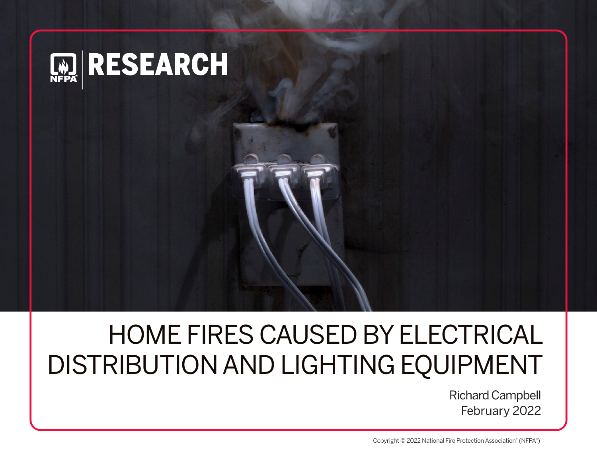

# HOME FIRES CAUSED BY ELECTRICAL DISTRIBUTION AND LIGHTING EQUIPMENT

Richard Campbell February 2022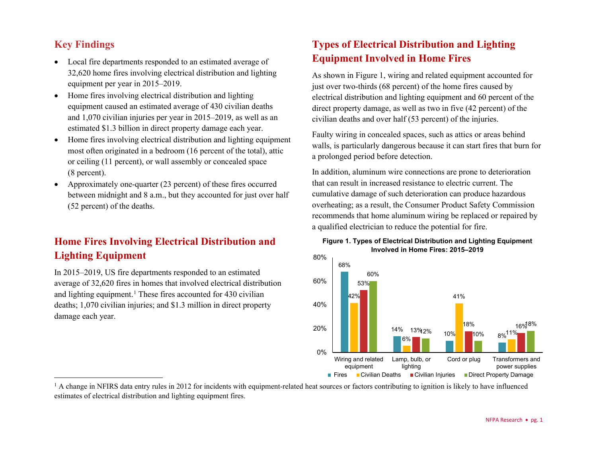# **Key Findings**

- Local fire departments responded to an estimated average of 32,620 home fires involving electrical distribution and lighting equipment per year in 2015–2019.
- Home fires involving electrical distribution and lighting equipment caused an estimated average of 430 civilian deaths and 1,070 civilian injuries per year in 2015–2019, as well as an estimated \$1.3 billion in direct property damage each year.
- Home fires involving electrical distribution and lighting equipment most often originated in a bedroom (16 percent of the total), attic or ceiling (11 percent), or wall assembly or concealed space (8 percent).
- Approximately one-quarter (23 percent) of these fires occurred between midnight and 8 a.m., but they accounted for just over half (52 percent) of the deaths.

# **Home Fires Involving Electrical Distribution and Lighting Equipment**

In 2015–2019, US fire departments responded to an estimated average of 32,620 fires in homes that involved electrical distribution and lighting equipment. [1](#page-1-0) These fires accounted for 430 civilian deaths; 1,070 civilian injuries; and \$1.3 million in direct property damage each year.

# <span id="page-1-0"></span>**Types of Electrical Distribution and Lighting Equipment Involved in Home Fires**

As shown in Figure 1, wiring and related equipment accounted for just over two-thirds (68 percent) of the home fires caused by electrical distribution and lighting equipment and 60 percent of the direct property damage, as well as two in five (42 percent) of the civilian deaths and over half (53 percent) of the injuries.

Faulty wiring in concealed spaces, such as attics or areas behind walls, is particularly dangerous because it can start fires that burn for a prolonged period before detection.

In addition, aluminum wire connections are prone to deterioration that can result in increased resistance to electric current. The cumulative damage of such deterioration can produce hazardous overheating; as a result, the Consumer Product Safety Commission recommends that home aluminum wiring be replaced or repaired by a qualified electrician to reduce the potential for fire.





<sup>&</sup>lt;sup>1</sup> A change in NFIRS data entry rules in 2012 for incidents with equipment-related heat sources or factors contributing to ignition is likely to have influenced estimates of electrical distribution and lighting equipment fires.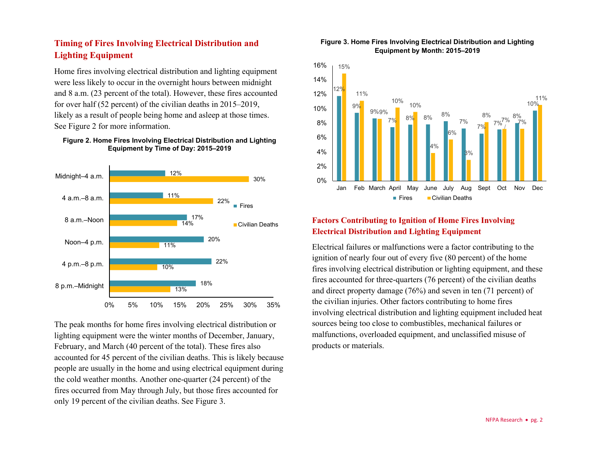## **Timing of Fires Involving Electrical Distribution and Lighting Equipment**

Home fires involving electrical distribution and lighting equipment were less likely to occur in the overnight hours between midnight and 8 a.m. (23 percent of the total). However, these fires accounted for over half (52 percent) of the civilian deaths in 2015–2019, likely as a result of people being home and asleep at those times. See Figure 2 for more information.

#### **Figure 2. Home Fires Involving Electrical Distribution and Lighting Equipment by Time of Day: 2015–2019**



The peak months for home fires involving electrical distribution or lighting equipment were the winter months of December, January, February, and March (40 percent of the total). These fires also accounted for 45 percent of the civilian deaths. This is likely because people are usually in the home and using electrical equipment during the cold weather months. Another one-quarter (24 percent) of the fires occurred from May through July, but those fires accounted for only 19 percent of the civilian deaths. See Figure 3.

#### **Figure 3. Home Fires Involving Electrical Distribution and Lighting Equipment by Month: 2015–2019**



### **Factors Contributing to Ignition of Home Fires Involving Electrical Distribution and Lighting Equipment**

Electrical failures or malfunctions were a factor contributing to the ignition of nearly four out of every five (80 percent) of the home fires involving electrical distribution or lighting equipment, and these fires accounted for three-quarters (76 percent) of the civilian deaths and direct property damage (76%) and seven in ten (71 percent) of the civilian injuries. Other factors contributing to home fires involving electrical distribution and lighting equipment included heat sources being too close to combustibles, mechanical failures or malfunctions, overloaded equipment, and unclassified misuse of products or materials.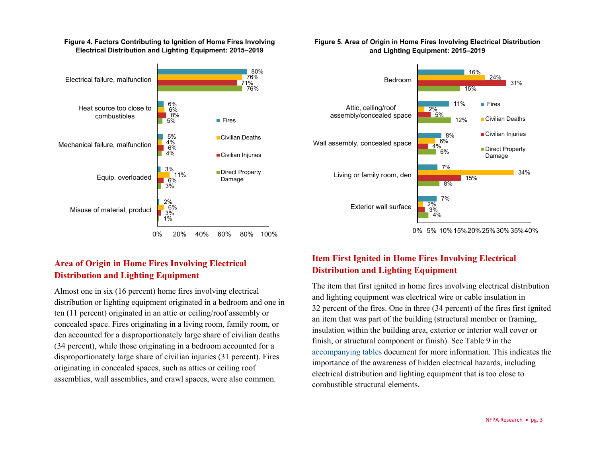#### **Figure 4. Factors Contributing to Ignition of Home Fires Involving Electrical Distribution and Lighting Equipment: 2015–2019**



# **Area of Origin in Home Fires Involving Electrical Distribution and Lighting Equipment**

Almost one in six (16 percent) home fires involving electrical distribution or lighting equipment originated in a bedroom and one in ten (11 percent) originated in an attic or ceiling/roof assembly or concealed space. Fires originating in a living room, family room, or den accounted for a disproportionately large share of civilian deaths (34 percent), while those originating in a bedroom accounted for a disproportionately large share of civilian injuries (31 percent). Fires originating in concealed spaces, such as attics or ceiling roof assemblies, wall assemblies, and crawl spaces, were also common.

#### **Figure 5. Area of Origin in Home Fires Involving Electrical Distribution and Lighting Equipment: 2015–2019**



<sup>0%</sup> 5% 10%15%20%25%30%35%40%

## **Item First Ignited in Home Fires Involving Electrical Distribution and Lighting Equipment**

The item that first ignited in home fires involving electrical distribution and lighting equipment was electrical wire or cable insulation in 32 percent of the fires. One in three (34 percent) of the fires first ignited an item that was part of the building (structural member or framing, insulation within the building area, exterior or interior wall cover or finish, or structural component or finish). See Table 9 in the [accompanying tables](https://www.nfpa.org/News-and-Research/Data-research-and-tools/Electrical/Electrical) document for more information. This indicates the importance of the awareness of hidden electrical hazards, including electrical distribution and lighting equipment that is too close to combustible structural elements.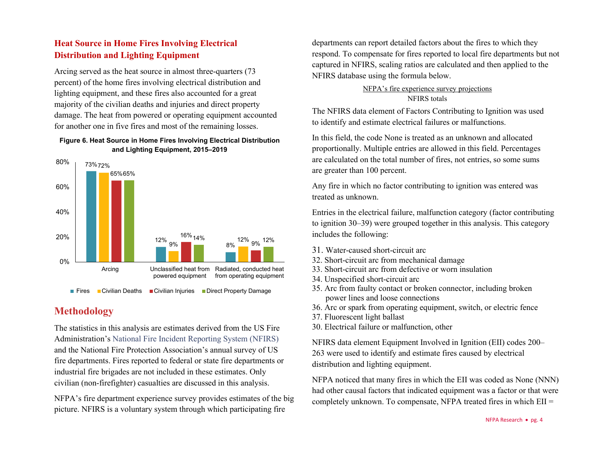## **Heat Source in Home Fires Involving Electrical Distribution and Lighting Equipment**

Arcing served as the heat source in almost three-quarters (73 percent) of the home fires involving electrical distribution and lighting equipment, and these fires also accounted for a great majority of the civilian deaths and injuries and direct property damage. The heat from powered or operating equipment accounted for another one in five fires and most of the remaining losses.

#### **Figure 6. Heat Source in Home Fires Involving Electrical Distribution and Lighting Equipment, 2015–2019**



## **Methodology**

The statistics in this analysis are estimates derived from the US Fire Administration's [National Fire Incident Reporting System \(NFIRS\)](https://www.usfa.fema.gov/nfirs/) and the National Fire Protection Association's annual survey of US fire departments. Fires reported to federal or state fire departments or industrial fire brigades are not included in these estimates. Only civilian (non-firefighter) casualties are discussed in this analysis.

NFPA's fire department experience survey provides estimates of the big picture. NFIRS is a voluntary system through which participating fire

departments can report detailed factors about the fires to which they respond. To compensate for fires reported to local fire departments but not captured in NFIRS, scaling ratios are calculated and then applied to the NFIRS database using the formula below.

> NFPA's fire experience survey projections NFIRS totals

The NFIRS data element of Factors Contributing to Ignition was used to identify and estimate electrical failures or malfunctions.

In this field, the code None is treated as an unknown and allocated proportionally. Multiple entries are allowed in this field. Percentages are calculated on the total number of fires, not entries, so some sums are greater than 100 percent.

Any fire in which no factor contributing to ignition was entered was treated as unknown.

Entries in the electrical failure, malfunction category (factor contributing to ignition 30–39) were grouped together in this analysis. This category includes the following:

- 31. Water-caused short-circuit arc
- 32. Short-circuit arc from mechanical damage
- 33. Short-circuit arc from defective or worn insulation
- 34. Unspecified short-circuit arc
- 35. Arc from faulty contact or broken connector, including broken power lines and loose connections
- 36. Arc or spark from operating equipment, switch, or electric fence
- 37. Fluorescent light ballast
- 30. Electrical failure or malfunction, other

NFIRS data element Equipment Involved in Ignition (EII) codes 200– 263 were used to identify and estimate fires caused by electrical distribution and lighting equipment.

NFPA noticed that many fires in which the EII was coded as None (NNN) had other causal factors that indicated equipment was a factor or that were completely unknown. To compensate, NFPA treated fires in which EII =